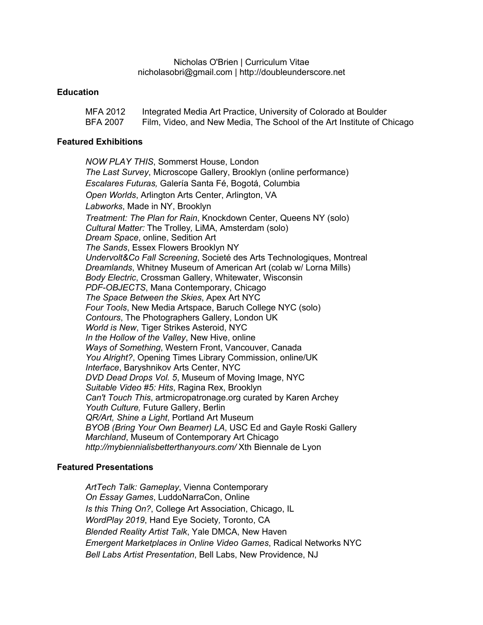Nicholas O'Brien | Curriculum Vitae nicholasobri@gmail.com | http://doubleunderscore.net

### **Education**

| MFA 2012        | Integrated Media Art Practice, University of Colorado at Boulder       |
|-----------------|------------------------------------------------------------------------|
| <b>BFA 2007</b> | Film, Video, and New Media, The School of the Art Institute of Chicago |

#### **Featured Exhibitions**

*NOW PLAY THIS*, Sommerst House, London *The Last Survey*, Microscope Gallery, Brooklyn (online performance) *Escalares Futuras,* Galería Santa Fé, Bogotá, Columbia *Open Worlds*, Arlington Arts Center, Arlington, VA *Labworks*, Made in NY, Brooklyn *Treatment: The Plan for Rain*, Knockdown Center, Queens NY (solo) *Cultural Matter:* The Trolley*,* LiMA, Amsterdam (solo) *Dream Space*, online, Sedition Art *The Sands*, Essex Flowers Brooklyn NY *Undervolt&Co Fall Screening*, Societé des Arts Technologiques, Montreal *Dreamlands*, Whitney Museum of American Art (colab w/ Lorna Mills) *Body Electric*, Crossman Gallery, Whitewater, Wisconsin *PDF-OBJECTS*, Mana Contemporary, Chicago *The Space Between the Skies*, Apex Art NYC *Four Tools*, New Media Artspace, Baruch College NYC (solo) *Contours*, The Photographers Gallery, London UK *World is New*, Tiger Strikes Asteroid, NYC *In the Hollow of the Valley*, New Hive, online *Ways of Something*, Western Front, Vancouver, Canada *You Alright?*, Opening Times Library Commission, online/UK *Interface*, Baryshnikov Arts Center, NYC *DVD Dead Drops Vol. 5*, Museum of Moving Image, NYC *Suitable Video #5: Hits*, Ragina Rex, Brooklyn *Can't Touch This*, artmicropatronage.org curated by Karen Archey *Youth Culture,* Future Gallery, Berlin *QR/Art, Shine a Light*, Portland Art Museum *BYOB (Bring Your Own Beamer) LA*, USC Ed and Gayle Roski Gallery *Marchland*, Museum of Contemporary Art Chicago *http://mybiennialisbetterthanyours.com/* Xth Biennale de Lyon

### **Featured Presentations**

*ArtTech Talk: Gameplay*, Vienna Contemporary *On Essay Games*, LuddoNarraCon, Online *Is this Thing On?*, College Art Association, Chicago, IL *WordPlay 2019*, Hand Eye Society*,* Toronto, CA *Blended Reality Artist Talk*, Yale DMCA, New Haven *Emergent Marketplaces in Online Video Games*, Radical Networks NYC *Bell Labs Artist Presentation*, Bell Labs, New Providence, NJ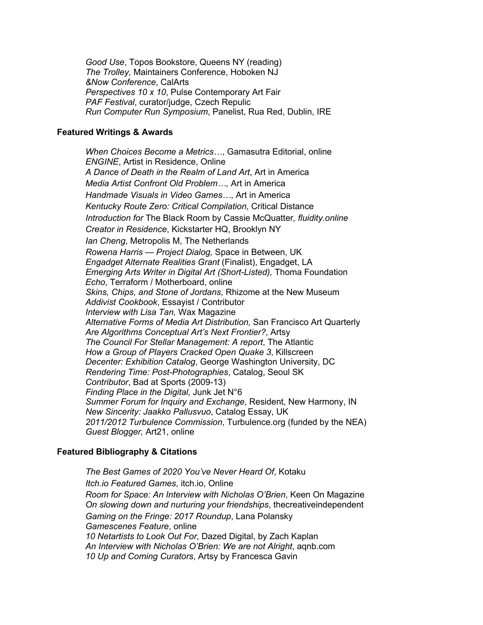*Good Use*, Topos Bookstore, Queens NY (reading) *The Trolley,* Maintainers Conference, Hoboken NJ *&Now Conference*, CalArts *Perspectives 10 x 10*, Pulse Contemporary Art Fair *PAF Festival*, curator/judge, Czech Repulic *Run Computer Run Symposium*, Panelist, Rua Red, Dublin, IRE

# **Featured Writings & Awards**

*When Choices Become a Metrics…*, Gamasutra Editorial, online *ENGINE*, Artist in Residence, Online *A Dance of Death in the Realm of Land Art*, Art in America *Media Artist Confront Old Problem…,* Art in America *Handmade Visuals in Video Games…*, Art in America *Kentucky Route Zero: Critical Compilation*, Critical Distance *Introduction for* The Black Room by Cassie McQuatter*, fluidity.online Creator in Residence*, Kickstarter HQ, Brooklyn NY *Ian Cheng*, Metropolis M, The Netherlands *Rowena Harris — Project Dialog,* Space in Between, UK *Engadget Alternate Realities Grant* (Finalist), Engadget, LA *Emerging Arts Writer in Digital Art (Short-Listed), Thoma Foundation Echo*, Terraform / Motherboard, online *Skins, Chips, and Stone of Jordans*, Rhizome at the New Museum *Addivist Cookbook*, Essayist / Contributor *Interview with Lisa Tan,* Wax Magazine *Alternative Forms of Media Art Distribution,* San Francisco Art Quarterly *Are Algorithms Conceptual Art's Next Frontier?*, Artsy *The Council For Stellar Management: A report*, The Atlantic *How a Group of Players Cracked Open Quake 3*, Killscreen *Decenter: Exhibition Catalog*, George Washington University, DC *Rendering Time: Post-Photographies*, Catalog, Seoul SK *Contributor*, Bad at Sports (2009-13) *Finding Place in the Digital,* Junk Jet N°6 *Summer Forum for Inquiry and Exchange*, Resident, New Harmony, IN *New Sincerity: Jaakko Pallusvuo*, Catalog Essay, UK *2011/2012 Turbulence Commission*, Turbulence.org (funded by the NEA) *Guest Blogger,* Art21, online

# **Featured Bibliography & Citations**

*The Best Games of 2020 You've Never Heard Of*, Kotaku *Itch.io Featured Games*, itch.io, Online *Room for Space: An Interview with Nicholas O'Brien*, Keen On Magazine *On slowing down and nurturing your friendships*, thecreativeindependent *Gaming on the Fringe: 2017 Roundup*, Lana Polansky *Gamescenes Feature*, online *10 Netartists to Look Out For*, Dazed Digital, by Zach Kaplan *An Interview with Nicholas O'Brien: We are not Alright*, aqnb.com *10 Up and Coming Curators*, Artsy by Francesca Gavin